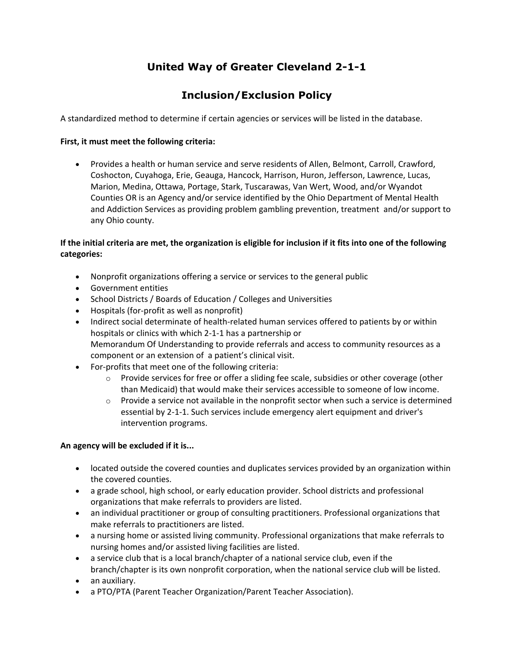# **United Way of Greater Cleveland 2-1-1**

## **Inclusion/Exclusion Policy**

A standardized method to determine if certain agencies or services will be listed in the database.

### **First, it must meet the following criteria:**

• Provides a health or human service and serve residents of Allen, Belmont, Carroll, Crawford, Coshocton, Cuyahoga, Erie, Geauga, Hancock, Harrison, Huron, Jefferson, Lawrence, Lucas, Marion, Medina, Ottawa, Portage, Stark, Tuscarawas, Van Wert, Wood, and/or Wyandot Counties OR is an Agency and/or service identified by the Ohio Department of Mental Health and Addiction Services as providing problem gambling prevention, treatment and/or support to any Ohio county.

## **If the initial criteria are met, the organization is eligible for inclusion if it fits into one of the following categories:**

- Nonprofit organizations offering a service or services to the general public
- Government entities
- School Districts / Boards of Education / Colleges and Universities
- Hospitals (for-profit as well as nonprofit)
- Indirect social determinate of health-related human services offered to patients by or within hospitals or clinics with which 2-1-1 has a partnership or Memorandum Of Understanding to provide referrals and access to community resources as a component or an extension of a patient's clinical visit.
- For-profits that meet one of the following criteria:
	- $\circ$  Provide services for free or offer a sliding fee scale, subsidies or other coverage (other than Medicaid) that would make their services accessible to someone of low income.
	- $\circ$  Provide a service not available in the nonprofit sector when such a service is determined essential by 2-1-1. Such services include emergency alert equipment and driver's intervention programs.

### **An agency will be excluded if it is...**

- located outside the covered counties and duplicates services provided by an organization within the covered counties.
- a grade school, high school, or early education provider. School districts and professional organizations that make referrals to providers are listed.
- an individual practitioner or group of consulting practitioners. Professional organizations that make referrals to practitioners are listed.
- a nursing home or assisted living community. Professional organizations that make referrals to nursing homes and/or assisted living facilities are listed.
- a service club that is a local branch/chapter of a national service club, even if the branch/chapter is its own nonprofit corporation, when the national service club will be listed.
- an auxiliary.
- a PTO/PTA (Parent Teacher Organization/Parent Teacher Association).